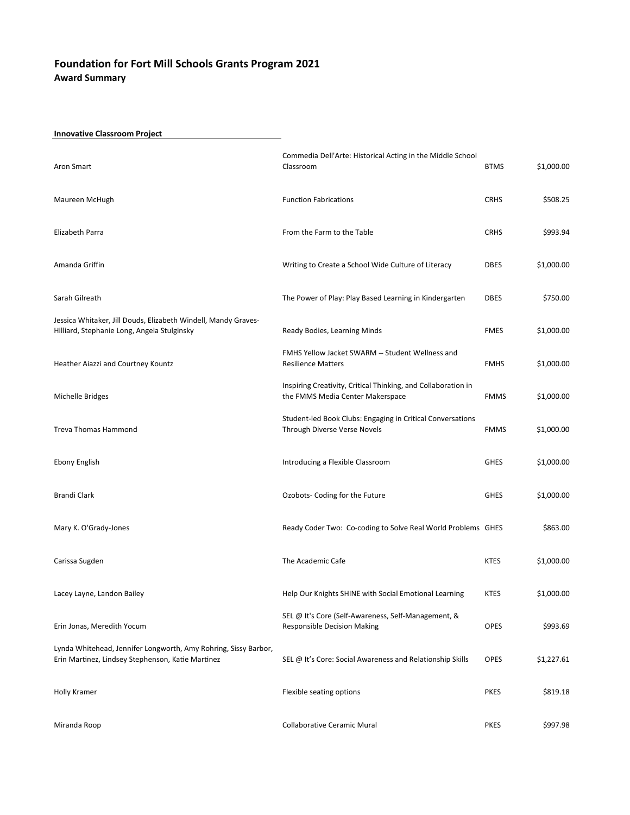### Innovative Classroom Project

| Aron Smart                                                                                                           | Commedia Dell'Arte: Historical Acting in the Middle School<br>Classroom                           | <b>BTMS</b> | \$1,000.00 |
|----------------------------------------------------------------------------------------------------------------------|---------------------------------------------------------------------------------------------------|-------------|------------|
| Maureen McHugh                                                                                                       | <b>Function Fabrications</b>                                                                      | <b>CRHS</b> | \$508.25   |
| Elizabeth Parra                                                                                                      | From the Farm to the Table                                                                        | <b>CRHS</b> | \$993.94   |
| Amanda Griffin                                                                                                       | Writing to Create a School Wide Culture of Literacy                                               | <b>DBES</b> | \$1,000.00 |
| Sarah Gilreath                                                                                                       | The Power of Play: Play Based Learning in Kindergarten                                            | <b>DBES</b> | \$750.00   |
| Jessica Whitaker, Jill Douds, Elizabeth Windell, Mandy Graves-<br>Hilliard, Stephanie Long, Angela Stulginsky        | Ready Bodies, Learning Minds                                                                      | <b>FMES</b> | \$1,000.00 |
| Heather Aiazzi and Courtney Kountz                                                                                   | FMHS Yellow Jacket SWARM -- Student Wellness and<br><b>Resilience Matters</b>                     | <b>FMHS</b> | \$1,000.00 |
| Michelle Bridges                                                                                                     | Inspiring Creativity, Critical Thinking, and Collaboration in<br>the FMMS Media Center Makerspace | <b>FMMS</b> | \$1,000.00 |
| <b>Treva Thomas Hammond</b>                                                                                          | Student-led Book Clubs: Engaging in Critical Conversations<br>Through Diverse Verse Novels        | <b>FMMS</b> | \$1,000.00 |
| <b>Ebony English</b>                                                                                                 | Introducing a Flexible Classroom                                                                  | <b>GHES</b> | \$1,000.00 |
| <b>Brandi Clark</b>                                                                                                  | Ozobots- Coding for the Future                                                                    | <b>GHES</b> | \$1,000.00 |
| Mary K. O'Grady-Jones                                                                                                | Ready Coder Two: Co-coding to Solve Real World Problems GHES                                      |             | \$863.00   |
| Carissa Sugden                                                                                                       | The Academic Cafe                                                                                 | <b>KTES</b> | \$1,000.00 |
| Lacey Layne, Landon Bailey                                                                                           | Help Our Knights SHINE with Social Emotional Learning                                             | <b>KTES</b> | \$1,000.00 |
| Erin Jonas, Meredith Yocum                                                                                           | SEL @ It's Core (Self-Awareness, Self-Management, &<br><b>Responsible Decision Making</b>         | OPES        | \$993.69   |
| Lynda Whitehead, Jennifer Longworth, Amy Rohring, Sissy Barbor,<br>Erin Martinez, Lindsey Stephenson, Katie Martinez | SEL @ It's Core: Social Awareness and Relationship Skills                                         | <b>OPES</b> | \$1,227.61 |
| <b>Holly Kramer</b>                                                                                                  | Flexible seating options                                                                          | <b>PKES</b> | \$819.18   |
| Miranda Roop                                                                                                         | <b>Collaborative Ceramic Mural</b>                                                                | <b>PKES</b> | \$997.98   |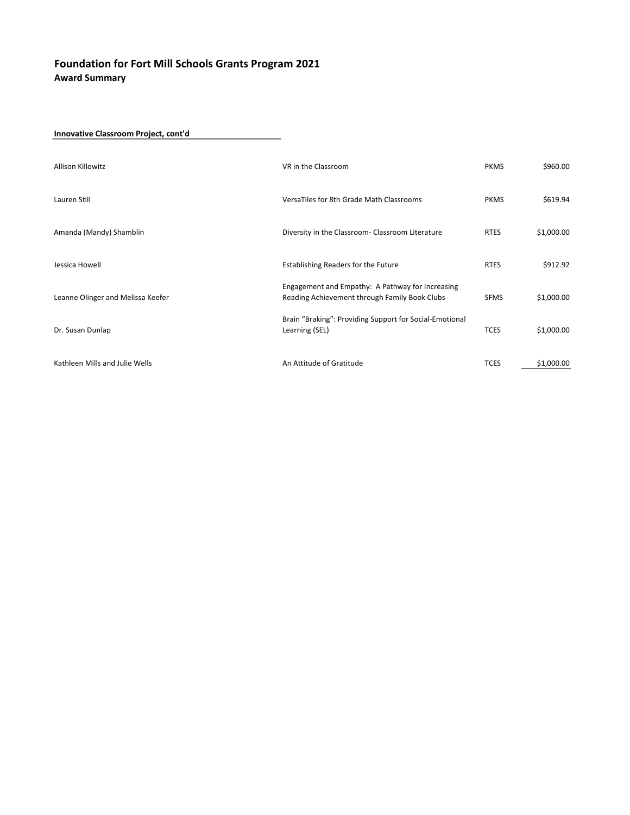Innovative Classroom Project, cont'd

| Allison Killowitz                 | VR in the Classroom                                                                               | <b>PKMS</b> | \$960.00   |
|-----------------------------------|---------------------------------------------------------------------------------------------------|-------------|------------|
| Lauren Still                      | VersaTiles for 8th Grade Math Classrooms                                                          | <b>PKMS</b> | \$619.94   |
| Amanda (Mandy) Shamblin           | Diversity in the Classroom- Classroom Literature                                                  | <b>RTES</b> | \$1,000.00 |
| Jessica Howell                    | Establishing Readers for the Future                                                               | <b>RTES</b> | \$912.92   |
| Leanne Olinger and Melissa Keefer | Engagement and Empathy: A Pathway for Increasing<br>Reading Achievement through Family Book Clubs | <b>SFMS</b> | \$1,000.00 |
| Dr. Susan Dunlap                  | Brain "Braking": Providing Support for Social-Emotional<br>Learning (SEL)                         | <b>TCES</b> | \$1,000.00 |
| Kathleen Mills and Julie Wells    | An Attitude of Gratitude                                                                          | <b>TCES</b> | \$1,000.00 |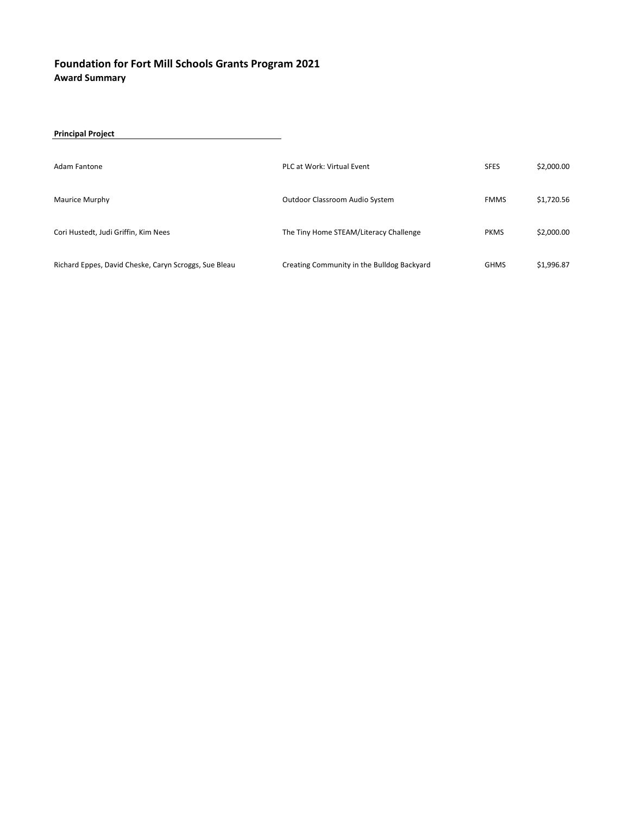| <b>Principal Project</b>                              |                                            |             |            |
|-------------------------------------------------------|--------------------------------------------|-------------|------------|
| Adam Fantone                                          | PLC at Work: Virtual Event                 | <b>SFES</b> | \$2,000.00 |
| Maurice Murphy                                        | Outdoor Classroom Audio System             | <b>FMMS</b> | \$1,720.56 |
| Cori Hustedt, Judi Griffin, Kim Nees                  | The Tiny Home STEAM/Literacy Challenge     | <b>PKMS</b> | \$2,000.00 |
| Richard Eppes, David Cheske, Caryn Scroggs, Sue Bleau | Creating Community in the Bulldog Backyard | <b>GHMS</b> | \$1,996.87 |